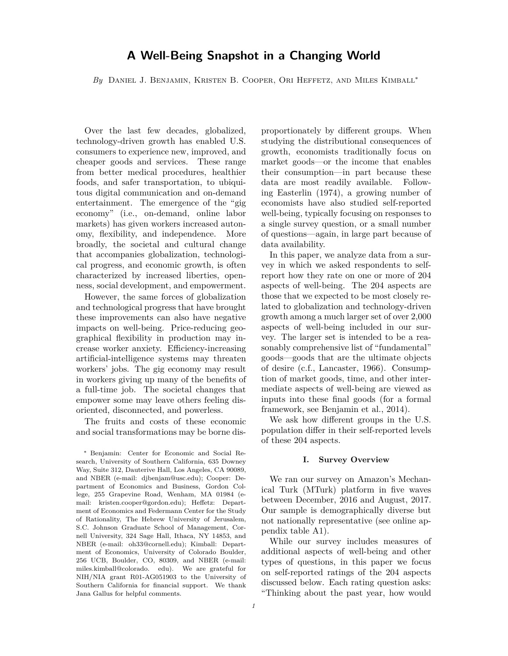# **A Well-Being Snapshot in a Changing World**

*By* Daniel J. Benjamin, Kristen B. Cooper, Ori Heffetz, and Miles Kimball<sup>∗</sup>

Over the last few decades, globalized, technology-driven growth has enabled U.S. consumers to experience new, improved, and cheaper goods and services. These range from better medical procedures, healthier foods, and safer transportation, to ubiquitous digital communication and on-demand entertainment. The emergence of the "gig economy" (i.e., on-demand, online labor markets) has given workers increased autonomy, flexibility, and independence. More broadly, the societal and cultural change that accompanies globalization, technological progress, and economic growth, is often characterized by increased liberties, openness, social development, and empowerment.

However, the same forces of globalization and technological progress that have brought these improvements can also have negative impacts on well-being. Price-reducing geographical flexibility in production may increase worker anxiety. Efficiency-increasing artificial-intelligence systems may threaten workers' jobs. The gig economy may result in workers giving up many of the benefits of a full-time job. The societal changes that empower some may leave others feeling disoriented, disconnected, and powerless.

The fruits and costs of these economic and social transformations may be borne disproportionately by different groups. When studying the distributional consequences of growth, economists traditionally focus on market goods—or the income that enables their consumption—in part because these data are most readily available. Following Easterlin (1974), a growing number of economists have also studied self-reported well-being, typically focusing on responses to a single survey question, or a small number of questions—again, in large part because of data availability.

In this paper, we analyze data from a survey in which we asked respondents to selfreport how they rate on one or more of 204 aspects of well-being. The 204 aspects are those that we expected to be most closely related to globalization and technology-driven growth among a much larger set of over 2,000 aspects of well-being included in our survey. The larger set is intended to be a reasonably comprehensive list of "fundamental" goods—goods that are the ultimate objects of desire (c.f., Lancaster, 1966). Consumption of market goods, time, and other intermediate aspects of well-being are viewed as inputs into these final goods (for a formal framework, see Benjamin et al., 2014).

We ask how different groups in the U.S. population differ in their self-reported levels of these 204 aspects.

# **I. Survey Overview**

We ran our survey on Amazon's Mechanical Turk (MTurk) platform in five waves between December, 2016 and August, 2017. Our sample is demographically diverse but not nationally representative (see online appendix table A1).

While our survey includes measures of additional aspects of well-being and other types of questions, in this paper we focus on self-reported ratings of the 204 aspects discussed below. Each rating question asks: "Thinking about the past year, how would

<sup>∗</sup> Benjamin: Center for Economic and Social Research, University of Southern California, 635 Downey Way, Suite 312, Dauterive Hall, Los Angeles, CA 90089, and NBER (e-mail: djbenjam@usc.edu); Cooper: Department of Economics and Business, Gordon College, 255 Grapevine Road, Wenham, MA 01984 (email: kristen.cooper@gordon.edu); Heffetz: Department of Economics and Federmann Center for the Study of Rationality, The Hebrew University of Jerusalem, S.C. Johnson Graduate School of Management, Cornell University, 324 Sage Hall, Ithaca, NY 14853, and NBER (e-mail: oh33@cornell.edu); Kimball: Department of Economics, University of Colorado Boulder, 256 UCB, Boulder, CO, 80309, and NBER (e-mail: miles.kimball@colorado. edu). We are grateful for NIH/NIA grant R01-AG051903 to the University of Southern California for financial support. We thank Jana Gallus for helpful comments.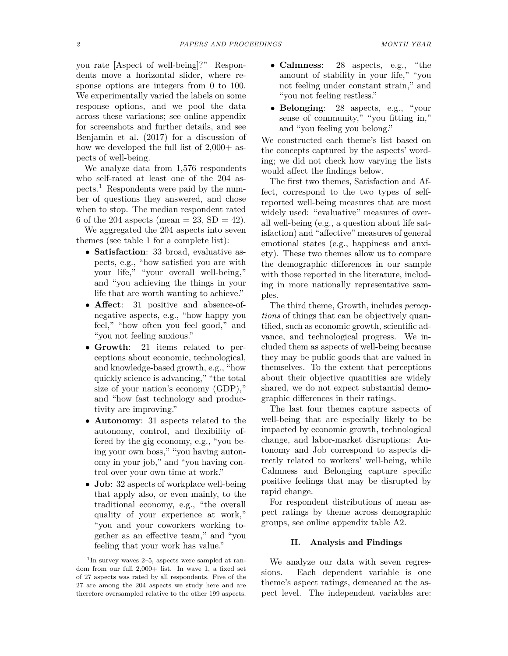you rate [Aspect of well-being]?" Respondents move a horizontal slider, where response options are integers from 0 to 100. We experimentally varied the labels on some response options, and we pool the data across these variations; see online appendix for screenshots and further details, and see Benjamin et al. (2017) for a discussion of how we developed the full list of  $2,000+$  aspects of well-being.

We analyze data from 1,576 respondents who self-rated at least one of the 204 aspects.<sup>1</sup> Respondents were paid by the number of questions they answered, and chose when to stop. The median respondent rated 6 of the 204 aspects (mean  $= 23$ , SD  $= 42$ ).

We aggregated the 204 aspects into seven themes (see table 1 for a complete list):

- **Satisfaction**: 33 broad, evaluative aspects, e.g., "how satisfied you are with your life," "your overall well-being," and "you achieving the things in your life that are worth wanting to achieve."
- **Affect**: 31 positive and absence-ofnegative aspects, e.g., "how happy you feel," "how often you feel good," and "you not feeling anxious."
- **Growth**: 21 items related to perceptions about economic, technological, and knowledge-based growth, e.g., "how quickly science is advancing," "the total size of your nation's economy (GDP)," and "how fast technology and productivity are improving."
- **Autonomy**: 31 aspects related to the autonomy, control, and flexibility offered by the gig economy, e.g., "you being your own boss," "you having autonomy in your job," and "you having control over your own time at work."
- **Job**: 32 aspects of workplace well-being that apply also, or even mainly, to the traditional economy, e.g., "the overall quality of your experience at work," "you and your coworkers working together as an effective team," and "you feeling that your work has value."

<sup>1</sup>In survey waves 2–5, aspects were sampled at random from our full 2,000+ list. In wave 1, a fixed set of 27 aspects was rated by all respondents. Five of the 27 are among the 204 aspects we study here and are therefore oversampled relative to the other 199 aspects.

- **Calmness**: 28 aspects, e.g., "the amount of stability in your life," "you not feeling under constant strain," and "you not feeling restless."
- **Belonging**: 28 aspects, e.g., "your sense of community," "you fitting in," and "you feeling you belong."

We constructed each theme's list based on the concepts captured by the aspects' wording; we did not check how varying the lists would affect the findings below.

The first two themes, Satisfaction and Affect, correspond to the two types of selfreported well-being measures that are most widely used: "evaluative" measures of overall well-being (e.g., a question about life satisfaction) and "affective" measures of general emotional states (e.g., happiness and anxiety). These two themes allow us to compare the demographic differences in our sample with those reported in the literature, including in more nationally representative samples.

The third theme, Growth, includes *perceptions* of things that can be objectively quantified, such as economic growth, scientific advance, and technological progress. We included them as aspects of well-being because they may be public goods that are valued in themselves. To the extent that perceptions about their objective quantities are widely shared, we do not expect substantial demographic differences in their ratings.

The last four themes capture aspects of well-being that are especially likely to be impacted by economic growth, technological change, and labor-market disruptions: Autonomy and Job correspond to aspects directly related to workers' well-being, while Calmness and Belonging capture specific positive feelings that may be disrupted by rapid change.

For respondent distributions of mean aspect ratings by theme across demographic groups, see online appendix table A2.

# **II. Analysis and Findings**

We analyze our data with seven regressions. Each dependent variable is one theme's aspect ratings, demeaned at the aspect level. The independent variables are: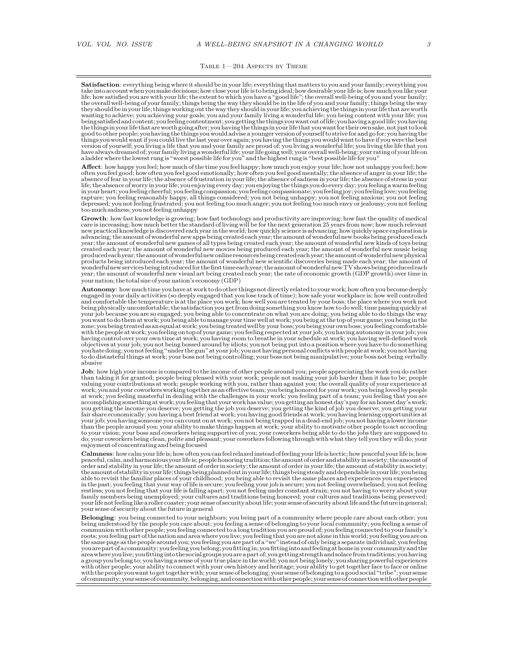#### TABLE  $1-204$  Aspects by Theme

**Satisfaction**: everything being where it should be in your life; everything that matters to you and your family; everything you<br>take into account when you make decisions; how close your life is to being ideal; how desirab they should bein yourlife; things working out the way they shouldin yourlife; you achieving the thingsin yourlife that are worth wanting to achieve; you achieving your goals; you and your family living a wonderful life; you being content with your life; you being satisfied andcontent; you feelingcontentment; you getting the thingsyouwant out oflife; youhaving a goodlife; youhaving the things in your life that are worth going after; you having the things in your life that you want for their own sake, not just to look<br>good to other people; you having the things you would advise a younger version of yo things you would wantif you couldlive thelast year over again; you having the things you would want to haveif you were the best version of yourself; you living a life that you and your family are proud of; you living a wonderful life; you living the life that you<br>have always dreamed of; your family living a wonderful life; your life going well; you a ladder where the lowest rung is "worst possible life for you" and the highest rung is "best possible life for you"

Affect: how happy you feel; how much of the time you feel happy; how much you enjoy your life; how not unhappy you feel; how<br>often you feel good; how often you feel good emotionally; how often you feel good mentally; the a absence of fear in your life; the absence of frustration in your life; the absence of sadness in your life; the absence of stress in your<br>life; the absence of worry in your life; you enjoying every day; you enjoying the th inyourheart; you feelingcheerful; you feelingcompassion; you feelingcompassionate; you feeling joy; you feelinglove; you feeling rapture; you feeling reasonably happy, all things considered; you not being unhappy; you not feeling anxious; you not feeling<br>depressed; you not feeling frustrated; you not feeling too much anger; you not feeling too much too much sadness; you not feeling unhappy

**Growth**: how fast knowledge is growing; how fast technology and productivity are improving; how fast the quality of medical care is increasing; how much better the standard of living will be for the next generation 25 years from now; how much relevant new practical knowledge is discovered each year in the world; how quickly science is advancing; how quickly space exploration is advancing; the amount of wonderful new apps being created each year; the amount of wonderful new books being produced each<br>year; the amount of wonderful new games of all types being created each year; the amount of wonderf created each year; the amount of wonderful new movies being produced each year; the amount of wonderful new music being producedeachyear; theamountofwonderfulnewonlineresourcesbeingcreatedeachyear; theamountofwonderfulnewphysical products being introduced each year; the amount of wonderful new scientific discoveries being made each year; the amount of wonderfulnew servicesbeingintroduced for thefirst timeeach year; the amount ofwonderfulnewTV showsbeingproducedeach year; the amount of wonderful new visual art being created each year; the rate of economic growth (GDP growth) over time in your nation; the total size of your nation's economy (GDP)

**Autonomy**: howmuch time you have at work to do other things not directly related to your work; how often you become deeply engaged in your daily activities (so deeply engaged that you lose track of time); how safe your workplace is; how well controlled and comfortable the temperature is at the place you work; how well you are treated by your boss; the place where you work not being physically uncomfortable; the satisfaction you get from doing something you know how to do well; time passing quickly at your job because you are so engaged; you being able to concentrate on what you are doing; you being able to do things the way<br>you want to do them at work; you being able to manage your time well at work; you being at the t with the people at work; you feeling on top of your game; you feeling respected at your job; you having autonomyin your job; you having control over your own time at work; you having room to breathe in your schedule at work; you having well-defined work objectives at your job; you not being bossed around by idiots; you not being put into a position where you have to do something you hate doing; you not feeling "under the gun" at your job; you not having personal conflicts with people at work; you not having<br>to do distasteful things at work; your boss not being controlling; your boss not being mani

**Job**: how high your income is compared to the income of other people around you; people appreciating the work you do rather than taking it for granted; people being pleased with your work; people not making your job harder than it has to be; people valuing your contributions at work; people working with you, rather than against you; the overall quality of your experience at work; you and your coworkers working together as an effective team; you being honored for your work; you being loved by people<br>at work; you feeling masterful in dealing with the challenges in your work; you feeling part of accomplishing something at work; you feeling that your work has value; you getting an honest day's pay for an honest day's work; you getting the income you deserve; you getting the job you deserve; you getting the kind of job you deserve; you getting your<br>fair share economically; you having a best friend at work; you having good friends at work; you to your vision; your boss and coworkers being supportive of you; your coworkers being able to do the jobs they are supposed to do; your coworkers being clean, polite and pleasant; your coworkers following through with what they tell you they will do; your enjoyment of concentrating and being focused

**Calmness**: how calm yourlifeis; how often you can feel relaxedinstead of feeling yourlifeis hectic; how peaceful yourlifeis; how peaceful, calm, and harmonious your life is; people honoring tradition; the amount of order and stability in society; the amount of<br>order and stability in your life; the amount of order in society; the amount of order in y theamountofstabilityinyourlife; thingsbeingplannedoutinyourlife; thingsbeingsteadyanddependableinyourlife; youbeing able to revisit the familiar places of your childhood; you being able to revisit the same places and experiences you experienced in the past; you feeling that your way of life is secure; you feeling your job is secure; you not feeling overwhelmed; you not feeling restless; you not feeling that your life is falling apart; you not feeling under constant strain; you not having to worry about your<br>family members being unemployed; your cultures and traditions being honored; your culture your life not feeling like a roller coaster; your sense of security about life; your sense of security about life and the future in general; your sense of security about the future in general

Belonging: you being connected to your neighbors; you being part of a community where people care about each other; you<br>being understood by the people you care about; you feeling a sense of belonging to your local communit roots; you feeling part of the nation and area where youlive; you feeling that you are not alonein this world; you feeling you are on the same page as the people around you; you feeling you are part of a "we"instead of only being a separateindividual; you feeling you are part of a community; you feeling you belong; you fittingin; you fittinginto and feeling at homein your community and the areawhere youlive; youfittinginto the social groups you are apart of; you getting strength and solace from traditions; youhaving a group you belong to; you having a sense of your true place in the world; you not being lonely; you sharing powerful experiences<br>with other people; your ability to connect with your own history and heritage; your ability with the people youwant to get togetherwith; your sense of belonging; your sense of belonging to a good social "tribe"; your sense ofcommunity; your senseofcommunity,belonging, andconnectionwithotherpeople; your sense ofconnectionwithotherpeople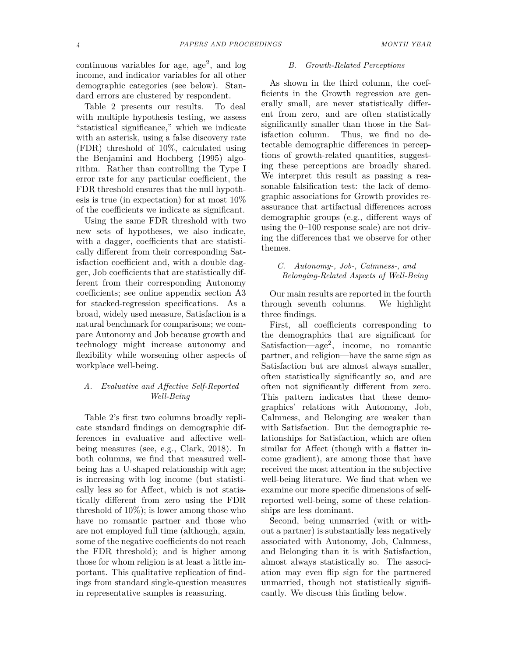continuous variables for age, age<sup>2</sup>, and  $log$ income, and indicator variables for all other demographic categories (see below). Standard errors are clustered by respondent.

Table 2 presents our results. To deal with multiple hypothesis testing, we assess "statistical significance," which we indicate with an asterisk, using a false discovery rate (FDR) threshold of 10%, calculated using the Benjamini and Hochberg (1995) algorithm. Rather than controlling the Type I error rate for any particular coefficient, the FDR threshold ensures that the null hypothesis is true (in expectation) for at most 10% of the coefficients we indicate as significant.

Using the same FDR threshold with two new sets of hypotheses, we also indicate, with a dagger, coefficients that are statistically different from their corresponding Satisfaction coefficient and, with a double dagger, Job coefficients that are statistically different from their corresponding Autonomy coefficients; see online appendix section A3 for stacked-regression specifications. As a broad, widely used measure, Satisfaction is a natural benchmark for comparisons; we compare Autonomy and Job because growth and technology might increase autonomy and flexibility while worsening other aspects of workplace well-being.

# *A. Evaluative and Affective Self-Reported Well-Being*

Table 2's first two columns broadly replicate standard findings on demographic differences in evaluative and affective wellbeing measures (see, e.g., Clark, 2018). In both columns, we find that measured wellbeing has a U-shaped relationship with age; is increasing with log income (but statistically less so for Affect, which is not statistically different from zero using the FDR threshold of 10%); is lower among those who have no romantic partner and those who are not employed full time (although, again, some of the negative coefficients do not reach the FDR threshold); and is higher among those for whom religion is at least a little important. This qualitative replication of findings from standard single-question measures in representative samples is reassuring.

#### *B. Growth-Related Perceptions*

As shown in the third column, the coefficients in the Growth regression are generally small, are never statistically different from zero, and are often statistically significantly smaller than those in the Satisfaction column. Thus, we find no detectable demographic differences in perceptions of growth-related quantities, suggesting these perceptions are broadly shared. We interpret this result as passing a reasonable falsification test: the lack of demographic associations for Growth provides reassurance that artifactual differences across demographic groups (e.g., different ways of using the 0–100 response scale) are not driving the differences that we observe for other themes.

*C. Autonomy-, Job-, Calmness-, and Belonging-Related Aspects of Well-Being*

Our main results are reported in the fourth through seventh columns. We highlight three findings.

First, all coefficients corresponding to the demographics that are significant for Satisfaction—age<sup>2</sup> , income, no romantic partner, and religion—have the same sign as Satisfaction but are almost always smaller, often statistically significantly so, and are often not significantly different from zero. This pattern indicates that these demographics' relations with Autonomy, Job, Calmness, and Belonging are weaker than with Satisfaction. But the demographic relationships for Satisfaction, which are often similar for Affect (though with a flatter income gradient), are among those that have received the most attention in the subjective well-being literature. We find that when we examine our more specific dimensions of selfreported well-being, some of these relationships are less dominant.

Second, being unmarried (with or without a partner) is substantially less negatively associated with Autonomy, Job, Calmness, and Belonging than it is with Satisfaction, almost always statistically so. The association may even flip sign for the partnered unmarried, though not statistically significantly. We discuss this finding below.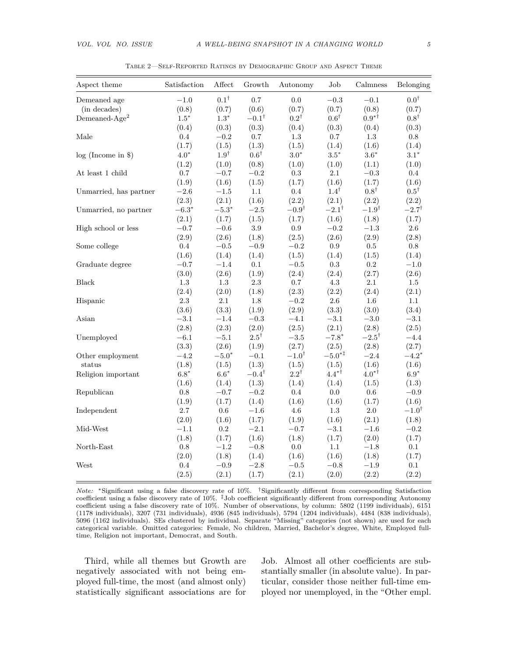| Aspect theme                        | Satisfaction | After           | Growth           | Autonomy         | Job              | Calmness               | Belonging        |
|-------------------------------------|--------------|-----------------|------------------|------------------|------------------|------------------------|------------------|
| Demeaned age                        | $-1.0$       | $0.1^{\dagger}$ | 0.7              | $0.0\,$          | $-0.3$           | $-0.1$                 | $0.0^{\dagger}$  |
| (in decades)                        | (0.8)        | (0.7)           | (0.6)            | (0.7)            | (0.7)            | (0.8)                  | (0.7)            |
| Demeaned- $Age2$                    | $1.5*$       | $1.3^{\ast}$    | $-0.1^{\dagger}$ | $0.2^{\dagger}$  | $0.6^{\dagger}$  | $0.9^{*}$ <sup>†</sup> | $0.8^{\dagger}$  |
|                                     | (0.4)        | (0.3)           | (0.3)            | (0.4)            | (0.3)            | (0.4)                  | (0.3)            |
| Male                                | 0.4          | $-0.2$          | 0.7              | $1.3\,$          | $0.7\,$          | $1.3\,$                | 0.8              |
|                                     | (1.7)        | (1.5)           | (1.3)            | (1.5)            | (1.4)            | (1.6)                  | (1.4)            |
| log (Income in \$)                  | $4.0*$       | $1.9^{\dagger}$ | $0.6^\dagger$    | $3.0^\ast$       | $3.5^\ast$       | $3.6^\ast$             | $3.1*$           |
|                                     | (1.2)        | (1.0)           | (0.8)            | (1.0)            | (1.0)            | (1.1)                  | (1.0)            |
| At least $1$ $\operatorname{child}$ | $0.7\,$      | $-0.7$          | $-0.2$           | $\rm 0.3$        | 2.1              | $-0.3$                 | 0.4              |
|                                     | (1.9)        | (1.6)           | (1.5)            | (1.7)            | (1.6)            | (1.7)                  | (1.6)            |
| Unmarried, has partner              | $-2.6$       | $-1.5$          | 1.1              | 0.4              | $1.4^{\dagger}$  | $0.8^{\dagger}$        | $0.5^{\dagger}$  |
|                                     | (2.3)        | (2.1)           | (1.6)            | (2.2)            | (2.1)            | (2.2)                  | (2.2)            |
| Unmarried, no partner               | $-6.3*$      | $-5.3*$         | $-2.5$           | $-0.9^{\dagger}$ | $-2.1^{\dagger}$ | $-1.9^{\dagger}$       | $-2.7^{\dagger}$ |
|                                     | (2.1)        | (1.7)           | (1.5)            | (1.7)            | (1.6)            | (1.8)                  | (1.7)            |
| High school or less                 | $-0.7$       | $-0.6$          | $3.9\,$          | $\rm 0.9$        | $\!-0.2$         | $-1.3\,$               | $2.6\,$          |
|                                     | (2.9)        | (2.6)           | (1.8)            | (2.5)            | (2.6)            | (2.9)                  | (2.8)            |
| Some college                        | 0.4          | $-0.5$          | $-0.9$           | $-0.2$           | $0.9\,$          | 0.5                    | 0.8              |
|                                     | (1.6)        | (1.4)           | (1.4)            | (1.5)            | (1.4)            | (1.5)                  | (1.4)            |
| Graduate degree                     | $-0.7$       | $^{-1.4}$       | 0.1              | $-0.5$           | $\rm 0.3$        | $\rm 0.2$              | $-1.0$           |
|                                     | (3.0)        | (2.6)           | (1.9)            | (2.4)            | (2.4)            | (2.7)                  | (2.6)            |
| <b>Black</b>                        | $1.3\,$      | 1.3             | $2.3\,$          | $0.7\,$          | $4.3\,$          | $2.1\,$                | $1.5\,$          |
|                                     | (2.4)        | (2.0)           | (1.8)            | (2.3)            | (2.2)            | (2.4)                  | (2.1)            |
| Hispanic                            | $2.3\,$      | $2.1\,$         | $1.8\,$          | $\!-0.2$         | $2.6\,$          | $1.6\,$                | 1.1              |
|                                     | (3.6)        | (3.3)           | (1.9)            | (2.9)            | (3.3)            | (3.0)                  | (3.4)            |
| Asian                               | $-3.1$       | $-1.4$          | $-0.3\,$         | $-4.1$           | $-3.1$           | $-3.0\,$               | $-3.1$           |
|                                     | (2.8)        | (2.3)           | (2.0)            | (2.5)            | (2.1)            | (2.8)                  | (2.5)            |
| Unemployed                          | $-6.1$       | $-5.1$          | $2.5^{\dagger}$  | $-3.5$           | $-7.8*$          | $-2.5^{\dagger}$       | $-4.4$           |
|                                     | (3.3)        | (2.6)           | (1.9)            | (2.7)            | (2.5)            | (2.8)                  | (2.7)            |
| Other employment                    | $-4.2$       | $-5.0*$         | $-0.1$           | $-1.0^{\dagger}$ | $-5.0**$         | $-2.4$                 | $-4.2*$          |
| status                              | (1.8)        | (1.5)           | (1.3)            | (1.5)            | (1.5)            | (1.6)                  | (1.6)            |
| Religion important                  | $6.8*$       | $6.6*$          | $-0.4^{\dagger}$ | $2.2^{\dagger}$  | $4.4*^{\dagger}$ | $4.0^{*}$ <sup>†</sup> | $6.9*$           |
|                                     | (1.6)        | (1.4)           | (1.3)            | (1.4)            | (1.4)            | (1.5)                  | (1.3)            |
| Republican                          | 0.8          | $-0.7$          | $\!-0.2$         | $0.4\,$          | 0.0              | $0.6\,$                | $-0.9$           |
|                                     | (1.9)        | (1.7)           | (1.4)            | (1.6)            | (1.6)            | (1.7)                  | (1.6)            |
| Independent                         | $2.7\,$      | 0.6             | $-1.6$           | $4.6\,$          | 1.3              | $2.0\,$                | $-1.0^{\dagger}$ |
|                                     | (2.0)        | (1.6)           | (1.7)            | (1.9)            | (1.6)            | (2.1)                  | (1.8)            |
| Mid-West                            | $-1.1$       | $\rm 0.2$       | $-2.1$           | $-0.7$           | $-3.1$           | $-1.6$                 | $-0.2$           |
|                                     | (1.8)        | (1.7)           | (1.6)            | (1.8)            | (1.7)            | (2.0)                  | (1.7)            |
| North-East                          | $0.8\,$      | $-1.2$          | $-0.8$           | 0.0              | 1.1              | $-1.8$                 | 0.1              |
|                                     | (2.0)        | (1.8)           | (1.4)            | (1.6)            | (1.6)            | (1.8)                  | (1.7)            |
| West                                | $0.4\,$      | $-0.9$          | $-2.8$           | $\!-0.5$         | $-0.8$           | $-1.9$                 | 0.1              |
|                                     | (2.5)        | (2.1)           | (1.7)            | (2.1)            | (2.0)            | (2.2)                  | (2.2)            |

Table 2—Self-Reported Ratings by Demographic Group and Aspect Theme

*Note:* \*Significant using a false discovery rate of 10%. <sup>†</sup>Significantly different from corresponding Satisfaction coefficient using a false discovery rate of 10%. ‡Job coefficient significantly different from corresponding Autonomy coefficient using a false discovery rate of 10%. Number of observations, by column: 5802 (1199 individuals), 6151 (1178 individuals), 3207 (731 individuals), 4936 (845 individuals), 5794 (1204 individuals), 4484 (838 individuals), 5096 (1162 individuals). SEs clustered by individual. Separate "Missing" categories (not shown) are used for each categorical variable. Omitted categories: Female, No children, Married, Bachelor's degree, White, Employed fulltime, Religion not important, Democrat, and South.

Third, while all themes but Growth are negatively associated with not being employed full-time, the most (and almost only) statistically significant associations are for Job. Almost all other coefficients are substantially smaller (in absolute value). In particular, consider those neither full-time employed nor unemployed, in the "Other empl.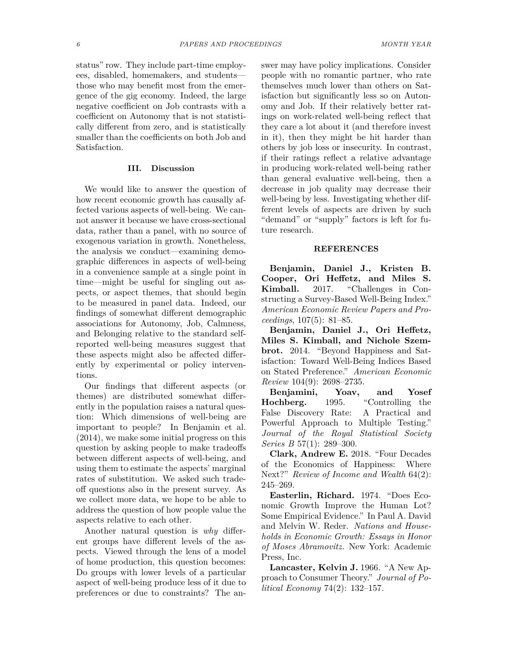status" row. They include part-time employees, disabled, homemakers, and students those who may benefit most from the emergence of the gig economy. Indeed, the large negative coefficient on Job contrasts with a coefficient on Autonomy that is not statistically different from zero, and is statistically smaller than the coefficients on both Job and Satisfaction.

## **III. Discussion**

We would like to answer the question of how recent economic growth has causally affected various aspects of well-being. We cannot answer it because we have cross-sectional data, rather than a panel, with no source of exogenous variation in growth. Nonetheless, the analysis we conduct—examining demographic differences in aspects of well-being in a convenience sample at a single point in time—might be useful for singling out aspects, or aspect themes, that should begin to be measured in panel data. Indeed, our findings of somewhat different demographic associations for Autonomy, Job, Calmness, and Belonging relative to the standard selfreported well-being measures suggest that these aspects might also be affected differently by experimental or policy interventions.

Our findings that different aspects (or themes) are distributed somewhat differently in the population raises a natural question: Which dimensions of well-being are important to people? In Benjamin et al. (2014), we make some initial progress on this question by asking people to make tradeoffs between different aspects of well-being, and using them to estimate the aspects' marginal rates of substitution. We asked such tradeoff questions also in the present survey. As we collect more data, we hope to be able to address the question of how people value the aspects relative to each other.

Another natural question is *why* different groups have different levels of the aspects. Viewed through the lens of a model of home production, this question becomes: Do groups with lower levels of a particular aspect of well-being produce less of it due to preferences or due to constraints? The answer may have policy implications. Consider people with no romantic partner, who rate themselves much lower than others on Satisfaction but significantly less so on Autonomy and Job. If their relatively better ratings on work-related well-being reflect that they care a lot about it (and therefore invest in it), then they might be hit harder than others by job loss or insecurity. In contrast, if their ratings reflect a relative advantage in producing work-related well-being rather than general evaluative well-being, then a decrease in job quality may decrease their well-being by less. Investigating whether different levels of aspects are driven by such "demand" or "supply" factors is left for future research.

#### **REFERENCES**

**Benjamin, Daniel J., Kristen B. Cooper, Ori Heffetz, and Miles S. Kimball.** 2017. "Challenges in Constructing a Survey-Based Well-Being Index." *American Economic Review Papers and Proceedings*, 107(5): 81–85.

**Benjamin, Daniel J., Ori Heffetz, Miles S. Kimball, and Nichole Szembrot.** 2014. "Beyond Happiness and Satisfaction: Toward Well-Being Indices Based on Stated Preference." *American Economic Review* 104(9): 2698–2735.

**Benjamini, Yoav, and Yosef Hochberg.** 1995. "Controlling the False Discovery Rate: A Practical and Powerful Approach to Multiple Testing." *Journal of the Royal Statistical Society Series B* 57(1): 289–300.

**Clark, Andrew E.** 2018. "Four Decades of the Economics of Happiness: Where Next?" *Review of Income and Wealth* 64(2): 245–269.

**Easterlin, Richard.** 1974. "Does Economic Growth Improve the Human Lot? Some Empirical Evidence." In Paul A. David and Melvin W. Reder. *Nations and Households in Economic Growth: Essays in Honor of Moses Abramovitz.* New York: Academic Press, Inc.

**Lancaster, Kelvin J.** 1966. "A New Approach to Consumer Theory." *Journal of Political Economy* 74(2): 132–157.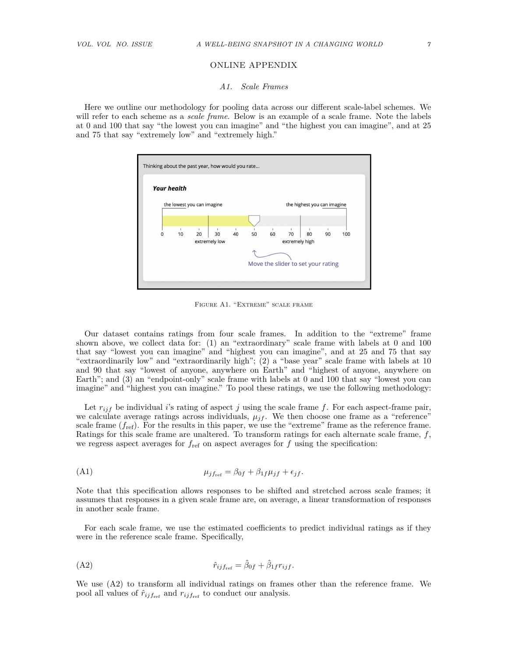# ONLINE APPENDIX

#### *A1. Scale Frames*

Here we outline our methodology for pooling data across our different scale-label schemes. We will refer to each scheme as a *scale frame*. Below is an example of a scale frame. Note the labels at 0 and 100 that say "the lowest you can imagine" and "the highest you can imagine", and at 25 and 75 that say "extremely low" and "extremely high."



FIGURE A1. "EXTREME" SCALE FRAME

Our dataset contains ratings from four scale frames. In addition to the "extreme" frame shown above, we collect data for: (1) an "extraordinary" scale frame with labels at 0 and 100 that say "lowest you can imagine" and "highest you can imagine", and at 25 and 75 that say "extraordinarily low" and "extraordinarily high"; (2) a "base year" scale frame with labels at 10 and 90 that say "lowest of anyone, anywhere on Earth" and "highest of anyone, anywhere on Earth"; and (3) an "endpoint-only" scale frame with labels at 0 and 100 that say "lowest you can imagine" and "highest you can imagine." To pool these ratings, we use the following methodology:

Let *rijf* be individual *i*'s rating of aspect *j* using the scale frame *f*. For each aspect-frame pair, we calculate average ratings across individuals,  $\mu_{if}$ . We then choose one frame as a "reference" scale frame  $(f_{ref})$ . For the results in this paper, we use the "extreme" frame as the reference frame. Ratings for this scale frame are unaltered. To transform ratings for each alternate scale frame, *f*, we regress aspect averages for  $f_{ref}$  on aspect averages for  $f$  using the specification:

$$
\mu_{j f_{\text{ref}}} = \beta_{0f} + \beta_{1f} \mu_{jf} + \epsilon_{jf}.
$$

Note that this specification allows responses to be shifted and stretched across scale frames; it assumes that responses in a given scale frame are, on average, a linear transformation of responses in another scale frame.

For each scale frame, we use the estimated coefficients to predict individual ratings as if they were in the reference scale frame. Specifically,

$$
\hat{r}_{ijf_{\text{ref}}} = \hat{\beta}_{0f} + \hat{\beta}_{1f} r_{ijf}.
$$

We use (A2) to transform all individual ratings on frames other than the reference frame. We pool all values of  $\hat{r}_{ijf_{ref}}$  and  $r_{ijf_{ref}}$  to conduct our analysis.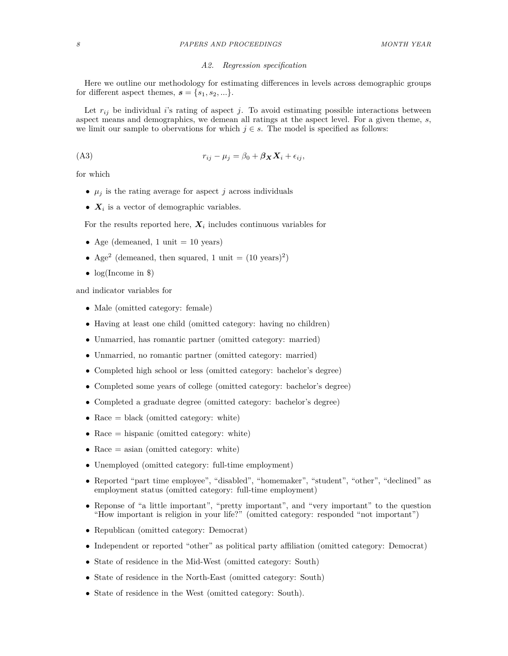# *A2. Regression specification*

Here we outline our methodology for estimating differences in levels across demographic groups for different aspect themes,  $s = \{s_1, s_2, ...\}$ .

Let  $r_{ij}$  be individual *i*'s rating of aspect *j*. To avoid estimating possible interactions between aspect means and demographics, we demean all ratings at the aspect level. For a given theme, *s*, we limit our sample to obervations for which  $j \in s$ . The model is specified as follows:

(A3) *rij* − *µ<sup>j</sup>* = *β*<sup>0</sup> + *βXX<sup>i</sup>* + *ij ,*

for which

- $\mu_j$  is the rating average for aspect *j* across individuals
- *X<sup>i</sup>* is a vector of demographic variables.

For the results reported here,  $X_i$  includes continuous variables for

- Age (demeaned, 1 unit  $= 10$  years)
- Age<sup>2</sup> (demeaned, then squared, 1 unit =  $(10 \text{ years})^2$ )
- $log(Income in$  \$)

and indicator variables for

- Male (omitted category: female)
- Having at least one child (omitted category: having no children)
- Unmarried, has romantic partner (omitted category: married)
- Unmarried, no romantic partner (omitted category: married)
- Completed high school or less (omitted category: bachelor's degree)
- Completed some years of college (omitted category: bachelor's degree)
- Completed a graduate degree (omitted category: bachelor's degree)
- Race  $=$  black (omitted category: white)
- Race  $=$  hispanic (omitted category: white)
- Race = asian (omitted category: white)
- Unemployed (omitted category: full-time employment)
- Reported "part time employee", "disabled", "homemaker", "student", "other", "declined" as employment status (omitted category: full-time employment)
- Reponse of "a little important", "pretty important", and "very important" to the question "How important is religion in your life?" (omitted category: responded "not important")
- Republican (omitted category: Democrat)
- Independent or reported "other" as political party affiliation (omitted category: Democrat)
- State of residence in the Mid-West (omitted category: South)
- State of residence in the North-East (omitted category: South)
- State of residence in the West (omitted category: South).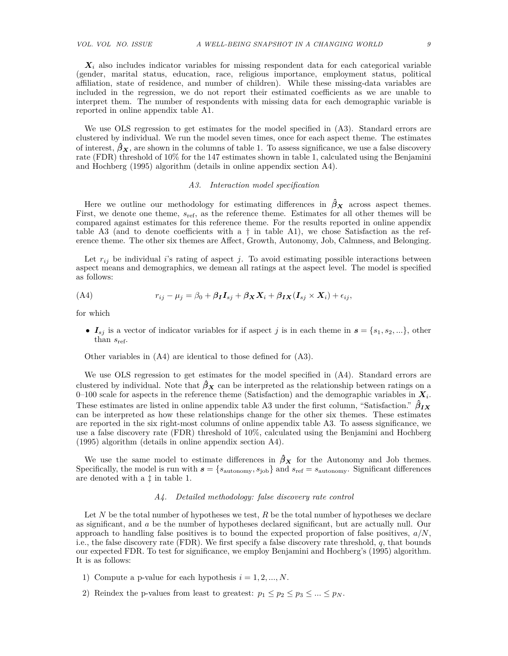*X<sup>i</sup>* also includes indicator variables for missing respondent data for each categorical variable (gender, marital status, education, race, religious importance, employment status, political affiliation, state of residence, and number of children). While these missing-data variables are included in the regression, we do not report their estimated coefficients as we are unable to interpret them. The number of respondents with missing data for each demographic variable is reported in online appendix table A1.

We use OLS regression to get estimates for the model specified in (A3). Standard errors are clustered by individual. We run the model seven times, once for each aspect theme. The estimates of interest,  $\hat{\beta}_X$ , are shown in the columns of table 1. To assess significance, we use a false discovery rate (FDR) threshold of 10% for the 147 estimates shown in table 1, calculated using the Benjamini and Hochberg (1995) algorithm (details in online appendix section A4).

### *A3. Interaction model specification*

Here we outline our methodology for estimating differences in  $\hat{\beta}_X$  across aspect themes. First, we denote one theme, *s*ref, as the reference theme. Estimates for all other themes will be compared against estimates for this reference theme. For the results reported in online appendix table A3 (and to denote coefficients with a  $\dagger$  in table A1), we chose Satisfaction as the reference theme. The other six themes are Affect, Growth, Autonomy, Job, Calmness, and Belonging.

Let  $r_{ij}$  be individual *i*'s rating of aspect *j*. To avoid estimating possible interactions between aspect means and demographics, we demean all ratings at the aspect level. The model is specified as follows:

(A4) 
$$
r_{ij} - \mu_j = \beta_0 + \beta_I \mathbf{I}_{sj} + \beta_X \mathbf{X}_i + \beta_I \mathbf{X}_i (\mathbf{I}_{sj} \times \mathbf{X}_i) + \epsilon_{ij},
$$

for which

•  $I_{sj}$  is a vector of indicator variables for if aspect *j* is in each theme in  $s = \{s_1, s_2, ...\}$ , other than *s*ref.

Other variables in (A4) are identical to those defined for (A3).

We use OLS regression to get estimates for the model specified in (A4). Standard errors are clustered by individual. Note that  $\hat{\beta}_X$  can be interpreted as the relationship between ratings on a 0–100 scale for aspects in the reference theme (Satisfaction) and the demographic variables in  $X_i$ . These estimates are listed in online appendix table A3 under the first column, "Satisfaction." *β***ˆ***IX* can be interpreted as how these relationships change for the other six themes. These estimates are reported in the six right-most columns of online appendix table A3. To assess significance, we use a false discovery rate (FDR) threshold of 10%, calculated using the Benjamini and Hochberg (1995) algorithm (details in online appendix section A4).

We use the same model to estimate differences in  $\hat{\beta}_X$  for the Autonomy and Job themes. Specifically, the model is run with  $s = \{s_{\text{autonomy}}, s_{\text{job}}\}$  and  $s_{\text{ref}} = s_{\text{autonomy}}$ . Significant differences are denoted with a ‡ in table 1.

# *A4. Detailed methodology: false discovery rate control*

Let *N* be the total number of hypotheses we test, *R* be the total number of hypotheses we declare as significant, and *a* be the number of hypotheses declared significant, but are actually null. Our approach to handling false positives is to bound the expected proportion of false positives, *a/N*, i.e., the false discovery rate (FDR). We first specify a false discovery rate threshold, *q*, that bounds our expected FDR. To test for significance, we employ Benjamini and Hochberg's (1995) algorithm. It is as follows:

- 1) Compute a p-value for each hypothesis  $i = 1, 2, ..., N$ .
- 2) Reindex the p-values from least to greatest:  $p_1 \leq p_2 \leq p_3 \leq ... \leq p_N$ .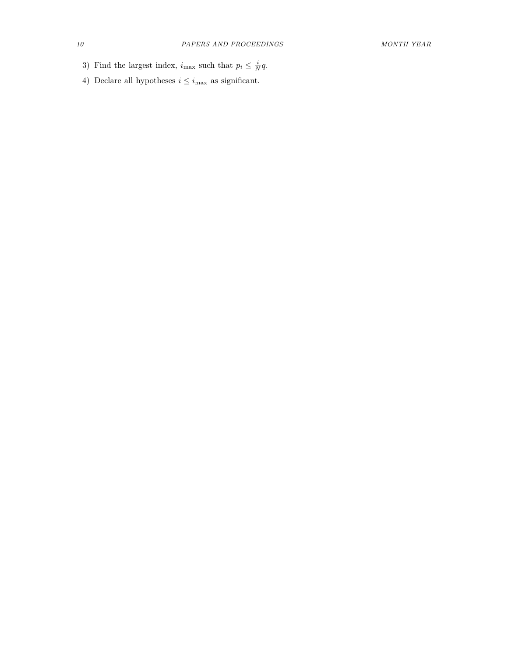- 3) Find the largest index,  $i_{\text{max}}$  such that  $p_i \leq \frac{i}{N}q$ .
- 4) Declare all hypotheses  $i\leq i_{\max}$  as significant.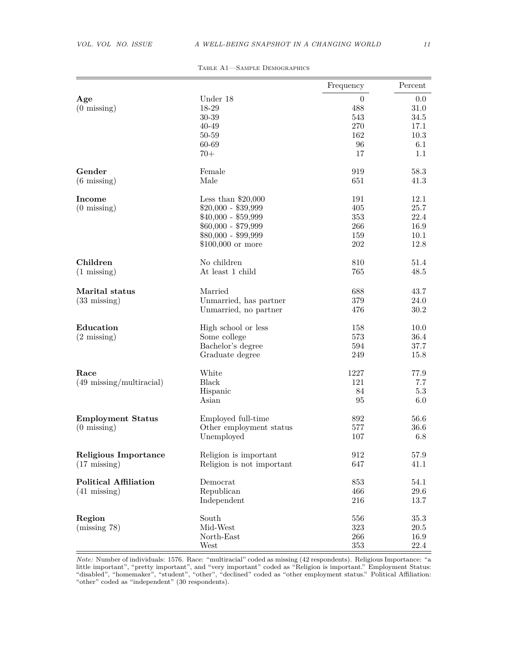|                                      |                           | Frequency        | Percent  |
|--------------------------------------|---------------------------|------------------|----------|
| Age                                  | Under 18                  | $\boldsymbol{0}$ | 0.0      |
| $(0 \text{ missing})$                | 18-29                     | 488              | 31.0     |
|                                      | 30-39                     | 543              | 34.5     |
|                                      | 40-49                     | 270              | 17.1     |
|                                      | 50-59                     | 162              | 10.3     |
|                                      | 60-69                     | 96               | 6.1      |
|                                      | $70+$                     | 17               | 1.1      |
| Gender                               | Female                    | 919              | 58.3     |
| $(6 \text{ missing})$                | Male                      | 651              | 41.3     |
| Income                               | Less than $$20,000$       | 191              | 12.1     |
| $(0 \text{ missing})$                | $$20,000 - $39,999$       | 405              | 25.7     |
|                                      | $$40,000 - $59,999$       | 353              | 22.4     |
|                                      | $$60,000 - $79,999$       | 266              | 16.9     |
|                                      | $$80,000 - $99,999$       | 159              | 10.1     |
|                                      | $$100,000$ or more        | 202              | 12.8     |
| Children                             | No children               | 810              | 51.4     |
| $(1 \text{ missing})$                | At least 1 child          | 765              | 48.5     |
| Marital status                       | Married                   | 688              | 43.7     |
| $(33 \text{ missing})$               | Unmarried, has partner    | 379              | 24.0     |
|                                      | Unmarried, no partner     | 476              | 30.2     |
| Education                            | High school or less       | 158              | 10.0     |
| $(2 \text{ missing})$                | Some college              | 573              | 36.4     |
|                                      | Bachelor's degree         | 594              | 37.7     |
|                                      | Graduate degree           | 249              | 15.8     |
| Race                                 | White                     | 1227             | 77.9     |
| $(49 \; \text{missing/multiracial})$ | Black                     | 121              | 7.7      |
|                                      | Hispanic                  | 84               | 5.3      |
|                                      | Asian                     | 95               | 6.0      |
| <b>Employment Status</b>             | Employed full-time        | 892              | 56.6     |
| $(0 \text{ missing})$                | Other employment status   | 577              | 36.6     |
|                                      | Unemployed                | 107              | 6.8      |
| <b>Religious Importance</b>          | Religion is important     | 912              | 57.9     |
| $(17 \text{ missing})$               | Religion is not important | 647              | 41.1     |
| <b>Political Affiliation</b>         | Democrat                  | 853              | 54.1     |
| $(41 \text{ missing})$               | Republican                | 466              | 29.6     |
|                                      | Independent               | 216              | 13.7     |
| Region                               | South                     | 556              | $35.3\,$ |
| (missing 78)                         | Mid-West                  | 323              | 20.5     |
|                                      | North-East                | 266              | 16.9     |
|                                      | West                      | 353              | 22.4     |

Table A1—Sample Demographics

*Note:* Number of individuals: 1576. Race: "multiracial" coded as missing (42 respondents). Religious Importance: "a little important", "pretty important", and "very important" coded as "Religion is important." Employment Status: "disabled", "homemaker", "student", "other", "declined" coded as "other employment status." Political Affiliation: "other" coded as "independent" (30 respondents).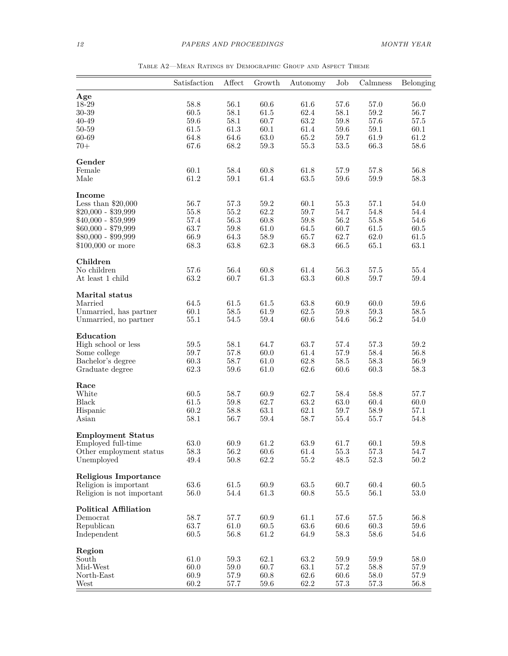|                                       | Satisfaction     | Affect           | Growth           | Autonomy | Job              | Calmness         | Belonging |
|---------------------------------------|------------------|------------------|------------------|----------|------------------|------------------|-----------|
| Age                                   |                  |                  |                  |          |                  |                  |           |
| 18-29                                 | 58.8             | 56.1             | $60.6\,$         | 61.6     | 57.6             | 57.0             | 56.0      |
| 30-39                                 | 60.5             | 58.1             | 61.5             | 62.4     | 58.1             | $59.2\,$         | 56.7      |
| $40 - 49$                             | 59.6             | 58.1             | 60.7             | 63.2     | 59.8             | 57.6             | 57.5      |
| 50-59                                 | 61.5             | 61.3             | 60.1             | 61.4     | 59.6             | 59.1             | 60.1      |
| 60-69                                 | 64.8             | 64.6             | $63.0\,$         | 65.2     | 59.7             | 61.9             | 61.2      |
| $70+$                                 | 67.6             | 68.2             | $59.3\,$         | $55.3\,$ | $53.5\,$         | 66.3             | 58.6      |
|                                       |                  |                  |                  |          |                  |                  |           |
| Gender                                |                  |                  |                  |          |                  |                  |           |
| Female                                | 60.1             | 58.4             | 60.8             | 61.8     | 57.9             | 57.8             | 56.8      |
| Male                                  | 61.2             | 59.1             | 61.4             | 63.5     | $59.6\,$         | $59.9\,$         | 58.3      |
| Income                                |                  |                  |                  |          |                  |                  |           |
| Less than $$20,000$                   | 56.7             | 57.3             | 59.2             | 60.1     | 55.3             | 57.1             | 54.0      |
| $$20,000 - $39,999$                   | 55.8             | 55.2             | 62.2             | 59.7     | 54.7             | 54.8             | 54.4      |
| $$40,000 - $59,999$                   | 57.4             | 56.3             | 60.8             | 59.8     | 56.2             | 55.8             | 54.6      |
| $$60,000 - $79,999$                   | 63.7             | 59.8             | 61.0             | 64.5     | 60.7             | 61.5             | 60.5      |
| $$80,000 - $99,999$                   | 66.9             | 64.3             | 58.9             | 65.7     | 62.7             | $62.0\,$         | 61.5      |
| $$100,000$ or more                    | 68.3             | 63.8             | 62.3             | 68.3     | 66.5             | $65.1\,$         | $63.1\,$  |
|                                       |                  |                  |                  |          |                  |                  |           |
| Children                              |                  |                  |                  |          |                  |                  |           |
| No children                           | 57.6             | 56.4             | 60.8             | 61.4     | 56.3             | 57.5             | 55.4      |
| At least 1 child                      | 63.2             | 60.7             | 61.3             | 63.3     | 60.8             | $59.7\,$         | 59.4      |
| Marital status                        |                  |                  |                  |          |                  |                  |           |
| Married                               | 64.5             | 61.5             | 61.5             | $63.8\,$ | 60.9             | 60.0             | 59.6      |
| Unmarried, has partner                | 60.1             | $58.5\,$         | $61.9\,$         | 62.5     | $59.8\,$         | $59.3\,$         | 58.5      |
| Unmarried, no partner                 | 55.1             | 54.5             | $59.4\,$         | $60.6\,$ | 54.6             | 56.2             | 54.0      |
| Education                             |                  |                  |                  |          |                  |                  |           |
|                                       | 59.5             |                  | 64.7             | 63.7     | 57.4             | 57.3             | 59.2      |
| High school or less                   |                  | 58.1             |                  |          |                  |                  |           |
| Some college                          | $59.7\,$         | 57.8             | 60.0             | 61.4     | $57.9\,$         | $58.4\,$         | 56.8      |
| Bachelor's degree                     | 60.3             | 58.7             | 61.0             | $62.8\,$ | 58.5             | $58.3\,$         | 56.9      |
| Graduate degree                       | 62.3             | $59.6\,$         | 61.0             | 62.6     | 60.6             | $60.3\,$         | 58.3      |
| Race                                  |                  |                  |                  |          |                  |                  |           |
| White                                 | 60.5             | 58.7             | 60.9             | 62.7     | 58.4             | 58.8             | 57.7      |
| <b>Black</b>                          | $61.5\,$         | $59.8\,$         | 62.7             | $63.2\,$ | $63.0\,$         | 60.4             | 60.0      |
| Hispanic                              | 60.2             | 58.8             | 63.1             | $62.1\,$ | 59.7             | 58.9             | 57.1      |
| Asian                                 | 58.1             | 56.7             | 59.4             | 58.7     | 55.4             | 55.7             | 54.8      |
| <b>Employment Status</b>              |                  |                  |                  |          |                  |                  |           |
|                                       | 63.0             | 60.9             | 61.2             | 63.9     | 61.7             | 60.1             | 59.8      |
| Employed full-time                    |                  |                  |                  | $61.4\,$ |                  |                  | 54.7      |
| Other employment status<br>Unemployed | $58.3\,$<br>49.4 | $56.2\,$<br>50.8 | $60.6\,$<br>62.2 | $55.2\,$ | $55.3\,$<br>48.5 | 57.3<br>$52.3\,$ | 50.2      |
|                                       |                  |                  |                  |          |                  |                  |           |
| <b>Religious Importance</b>           |                  |                  |                  |          |                  |                  |           |
| Religion is important                 | 63.6             | 61.5             | $60.9\,$         | $63.5\,$ | 60.7             | 60.4             | 60.5      |
| Religion is not important             | 56.0             | 54.4             | 61.3             | 60.8     | $55.5\,$         | 56.1             | 53.0      |
| <b>Political Affiliation</b>          |                  |                  |                  |          |                  |                  |           |
| Democrat                              | 58.7             | 57.7             | 60.9             | 61.1     | 57.6             | 57.5             | 56.8      |
| Republican                            | 63.7             | $61.0\,$         | $60.5\,$         | $63.6\,$ | $60.6\,$         | $60.3\,$         | $59.6\,$  |
| Independent                           | 60.5             | 56.8             | 61.2             | 64.9     | $58.3\,$         | 58.6             | 54.6      |
|                                       |                  |                  |                  |          |                  |                  |           |
| Region<br>South                       | $61.0\,$         | 59.3             | 62.1             | 63.2     | $59.9\,$         | $59.9\,$         | 58.0      |
| Mid-West                              | 60.0             | 59.0             | 60.7             | 63.1     | 57.2             | 58.8             | 57.9      |
| North-East                            | 60.9             | 57.9             | 60.8             | $62.6\,$ | 60.6             | $58.0\,$         | 57.9      |
|                                       | 60.2             |                  | $59.6\,$         | $62.2\,$ |                  |                  |           |
| West                                  |                  | 57.7             |                  |          | 57.3             | 57.3             | 56.8      |

Table A2—Mean Ratings by Demographic Group and Aspect Theme